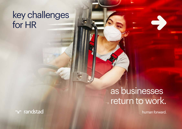### key challenges for HR

## as businesses return to work.

human forward.

ר randstad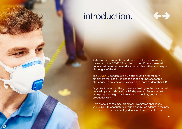## introduction.

As businesses around the world adjust to the new normal in the wake of the COVID-19 pandemic, the HR department will be focused on return-to-work strategies that reflect the unique challenges of this time.

The [COVID-19](https://www.randstad.com/covid-19/) pandemic is a unique situation for modern employers that has given rise to a range of unprecedented challenges. In no area of business is this more evident than HR.

Organizations across the globe are adjusting to the new normal created by this crisis, and the HR department faces the task of helping people get back to work in a healthy, positive and productive way.

Here are four of the most significant workforce challenges you're likely to encounter as your organization adapts to the new reality, and some practical guidance on how to meet them.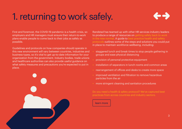# 1. returning to work safely.



First and foremost, the COVID-19 pandemic is a health crisis, so employers and HR managers must ensure their return-to-work plans enable people to come back to their jobs as safely as possible.

Guidelines and protocols on how companies should operate in this new environment will vary between countries, industries and business types, so it's vital to get up-to-date information for your organization from the government. Industry bodies, trade unions and healthcare authorities can also provide useful guidance on what safety measures and precautions you're expected to put in place.



Randstad has teamed up with other HR services industry leaders to produce a range of resources on getting safely back to work [in the new normal.](https://www.randstad.com/safely-back-to-work-in-the-new-normal/) A guide to best practice health and safety [protocols](https://www.randstad.com/ugc/documents/Best-Practice-Health-and-Safety-Protocols.pdf) outlines some of the steps and solutions you could put in place to maintain workforce wellbeing, including:

- staggered lunch and break times to stop people gathering in groups and ease physical distancing
- provision of personal protective equipment
- installation of separators in lunch rooms and common areas
- rearrangement of offices and desks to create more space
- improved ventilation and filtration to remove hazardous particles from the air
- more stringent cleaning and sanitation procedures

Do you need a health & safety protocol? We've captured best practices from across countries and industry sectors.

### [learn more](https://www.randstad.com/contact-randstad/)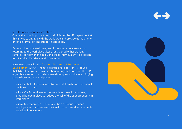how HR can support a safe return One of the most important responsibilities of the HR department at this time is to engage with the workforce and provide as much one-

on-one information and support as possible.

Research has indicated many employees have concerns about returning to the workplace after a long period either working remotely or not working at all, and these individuals will be looking to HR leaders for advice and reassurance.

A YouGov survey for the [Chartered Institute of Personnel and](http://cipd.co.uk/about/media/press/anxious-returning-workplace)  [Development](http://cipd.co.uk/about/media/press/anxious-returning-workplace) (CIPD) - the UK's professional body for HR - found that 44% of people felt anxious about going back to work. The CIPD urged businesses to consider these three questions before bringing people back into the workplace:

- is it essential? If people are able to work from home, they should continue to do so
- is it safe? Protective measures (such as those listed above) should be put in place to reduce the risk of the virus spreading in workplaces
- is it mutually agreed? There must be a dialogue between employers and workers so individual concerns and requirements are taken into account

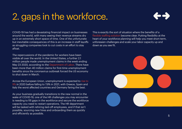# 2. gaps in the workforce.



COVID-19 has had a devastating financial impact on businesses around the world, with many seeing their revenue streams dry up in an extremely short space of time. One of the unfortunate but inevitable consequences of this is an increase in staff layoffs as struggling companies look to cut costs in an effort to stay afloat.

The repercussions of the pandemic for workers have been visible all over the world. In the United States, a further 2.1 million people made unemployment claims in the week ending May 23 2020, according to the [Department of Labor.](https://www.dol.gov/sites/dolgov/files/OPA/newsreleases/ui-claims/20201122.pdf) There have been more than 40 million claims for first-time unemployment benefits since the coronavirus outbreak forced the US economy to shut down in March.

Across the European Union, unemployment is expected to [rise to](https://www.statista.com/statistics/1115276/coronavirus-european-unemployment/)  [9%](https://www.statista.com/statistics/1115276/coronavirus-european-unemployment/) in 2020 before falling to 7.9% in 2021, with Greece, Spain and Italy the worst affected countries and Germany faring the best.

As your business gradually transitions to the new normal in the wake of COVID-19, one of the HR challenges you may encounter is needing to fill gaps in the workforce and secure the workforce capacity you need to restart operations. The HR department will be tasked with rehiring laid-off employees, and if that isn't possible, sourcing new hires and onboarding them as quickly and efficiently as possible.

This is exactly the sort of situation where the benefits of a [flexible staffing solution](https://www.randstad.com/hr-services/staffing/) become clear. Putting flexibility at the heart of your workforce planning will help you meet short-term, unforeseen challenges and scale your labor capacity up and down as you see fit.

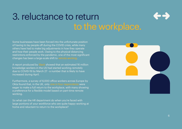# 3. reluctance to return to the workplace.

Some businesses have been forced into the unfortunate position of having to lay people off during the COVID crisis, while many others have had to make big adjustments in how they operate and how their people work. Owing to the physical distancing restrictions enforced by the pandemic, one of the most significant changes has been a large-scale shift to [remote working](https://www.randstad.co.uk/market-insights/workforce-management/managing-a-remote-workforce/).

A report produced by [Slack](https://slackhq.com/report-remote-work-during-coronavirus) showed that an estimated 16 million knowledge workers in the US had started working remotely due to COVID-19 by March 27 - a number that is likely to have increased during April.

Furthermore, a survey of 6,000 office workers across Europe by Okta found that, in the UK, only [one in four respondents](https://www.zdnet.com/article/three-quarters-of-workers-dont-want-to-go-back-to-the-office-full-time/) were eager to make a full return to the workplace, with many showing a preference for a flexible model based on part-time remote working.

So what can the HR department do when you're faced with large portions of your workforce who are quite happy working at home and reluctant to return to the workplace?

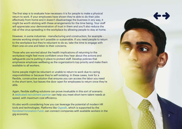The first step is to evaluate how necessary it is for people to make a physical return to work. If your employees have shown they're able to do their jobs effectively from home and it doesn't disadvantage the business in any way, it might be worth sticking with these arrangements for the time being. Your staff will appreciate your demonstration of trust in them and you'll also reduce the risk of the virus spreading in the workplace by allowing people to stay at home.

However, in some industries - manufacturing and construction, for example remote working simply isn't possible or sustainable. If you need people to return to the workplace but they're reluctant to do so, take the time to engage with them one-on-one and listen to their concerns.

Those who are worried about the health implications of returning to the workplace might feel more confident once they hear about the actions and safeguards you're putting in place to protect staff. Develop policies that emphasize employee wellbeing as the organization's top priority and make them available to all workers.

Some people might be reluctant or unable to return to work due to caring responsibilities or because they're self-isolating. In these cases, look for a flexible, constructive solution that ensures you can access the labor you need in the short term, but leaves the door open for employees to return once they're able.

Again, flexible staffing solutions can prove invaluable in this sort of scenario. A [dedicated recruitment partner](https://www.randstad.com/contact-randstad/) can help you meet short-term talent needs at speed, with maximum cost efficiency.

It's also worth considering how you can leverage the potential of modern HR tools and technologies. Platforms like [Gigwalk,](http://www.gigwalk.com/) which is supported by the [Randstad Innovation Fund](https://www.randstad.com/about-randstad/randstad-innovation-fund/), can connect companies with available workers in the gig economy.